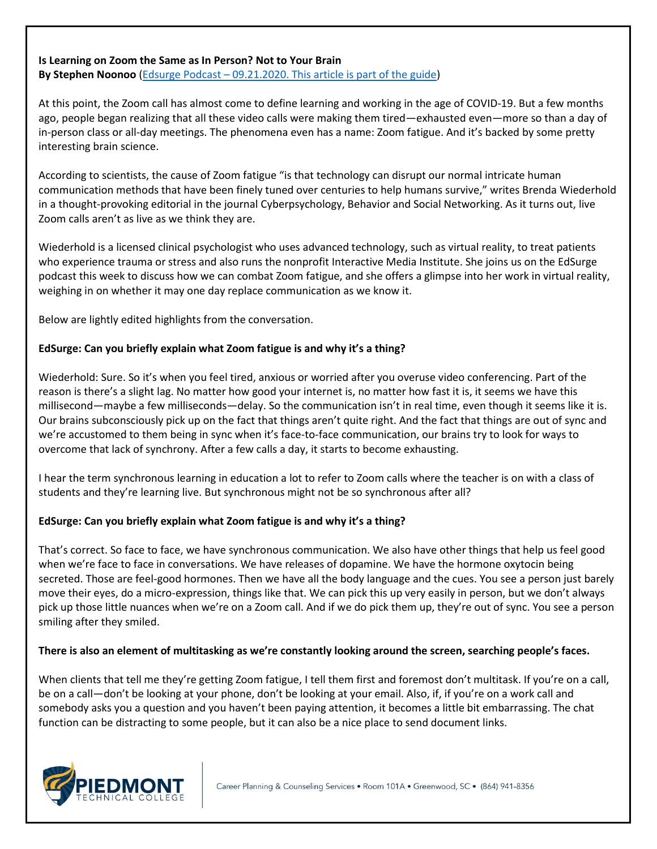## **Is Learning on Zoom the Same as In Person? Not to Your Brain**

**By Stephen Noonoo** (Edsurge Podcast – [09.21.2020. This article is part of the guide\)](https://www.edsurge.com/news/2020-09-15-is-learning-on-zoom-the-same-as-in-person-not-to-your-brain)

At this point, the Zoom call has almost come to define learning and working in the age of COVID-19. But a few months ago, people began realizing that all these video calls were making them tired—exhausted even—more so than a day of in-person class or all-day meetings. The phenomena even has a name: Zoom fatigue. And it's backed by some pretty interesting brain science.

According to scientists, the cause of Zoom fatigue "is that technology can disrupt our normal intricate human communication methods that have been finely tuned over centuries to help humans survive," writes Brenda Wiederhold in a thought-provoking editorial in the journal Cyberpsychology, Behavior and Social Networking. As it turns out, live Zoom calls aren't as live as we think they are.

Wiederhold is a licensed clinical psychologist who uses advanced technology, such as virtual reality, to treat patients who experience trauma or stress and also runs the nonprofit Interactive Media Institute. She joins us on the EdSurge podcast this week to discuss how we can combat Zoom fatigue, and she offers a glimpse into her work in virtual reality, weighing in on whether it may one day replace communication as we know it.

Below are lightly edited highlights from the conversation.

## **EdSurge: Can you briefly explain what Zoom fatigue is and why it's a thing?**

Wiederhold: Sure. So it's when you feel tired, anxious or worried after you overuse video conferencing. Part of the reason is there's a slight lag. No matter how good your internet is, no matter how fast it is, it seems we have this millisecond—maybe a few milliseconds—delay. So the communication isn't in real time, even though it seems like it is. Our brains subconsciously pick up on the fact that things aren't quite right. And the fact that things are out of sync and we're accustomed to them being in sync when it's face-to-face communication, our brains try to look for ways to overcome that lack of synchrony. After a few calls a day, it starts to become exhausting.

I hear the term synchronous learning in education a lot to refer to Zoom calls where the teacher is on with a class of students and they're learning live. But synchronous might not be so synchronous after all?

## **EdSurge: Can you briefly explain what Zoom fatigue is and why it's a thing?**

That's correct. So face to face, we have synchronous communication. We also have other things that help us feel good when we're face to face in conversations. We have releases of dopamine. We have the hormone oxytocin being secreted. Those are feel-good hormones. Then we have all the body language and the cues. You see a person just barely move their eyes, do a micro-expression, things like that. We can pick this up very easily in person, but we don't always pick up those little nuances when we're on a Zoom call. And if we do pick them up, they're out of sync. You see a person smiling after they smiled.

#### **There is also an element of multitasking as we're constantly looking around the screen, searching people's faces.**

When clients that tell me they're getting Zoom fatigue, I tell them first and foremost don't multitask. If you're on a call, be on a call—don't be looking at your phone, don't be looking at your email. Also, if, if you're on a work call and somebody asks you a question and you haven't been paying attention, it becomes a little bit embarrassing. The chat function can be distracting to some people, but it can also be a nice place to send document links.

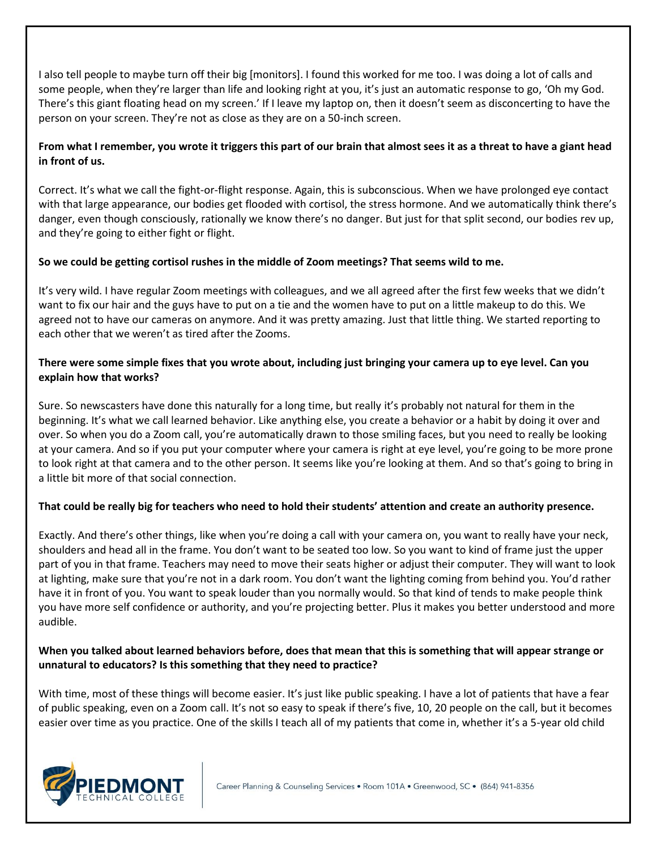I also tell people to maybe turn off their big [monitors]. I found this worked for me too. I was doing a lot of calls and some people, when they're larger than life and looking right at you, it's just an automatic response to go, 'Oh my God. There's this giant floating head on my screen.' If I leave my laptop on, then it doesn't seem as disconcerting to have the person on your screen. They're not as close as they are on a 50-inch screen.

# **From what I remember, you wrote it triggers this part of our brain that almost sees it as a threat to have a giant head in front of us.**

Correct. It's what we call the fight-or-flight response. Again, this is subconscious. When we have prolonged eye contact with that large appearance, our bodies get flooded with cortisol, the stress hormone. And we automatically think there's danger, even though consciously, rationally we know there's no danger. But just for that split second, our bodies rev up, and they're going to either fight or flight.

# **So we could be getting cortisol rushes in the middle of Zoom meetings? That seems wild to me.**

It's very wild. I have regular Zoom meetings with colleagues, and we all agreed after the first few weeks that we didn't want to fix our hair and the guys have to put on a tie and the women have to put on a little makeup to do this. We agreed not to have our cameras on anymore. And it was pretty amazing. Just that little thing. We started reporting to each other that we weren't as tired after the Zooms.

# **There were some simple fixes that you wrote about, including just bringing your camera up to eye level. Can you explain how that works?**

Sure. So newscasters have done this naturally for a long time, but really it's probably not natural for them in the beginning. It's what we call learned behavior. Like anything else, you create a behavior or a habit by doing it over and over. So when you do a Zoom call, you're automatically drawn to those smiling faces, but you need to really be looking at your camera. And so if you put your computer where your camera is right at eye level, you're going to be more prone to look right at that camera and to the other person. It seems like you're looking at them. And so that's going to bring in a little bit more of that social connection.

# **That could be really big for teachers who need to hold their students' attention and create an authority presence.**

Exactly. And there's other things, like when you're doing a call with your camera on, you want to really have your neck, shoulders and head all in the frame. You don't want to be seated too low. So you want to kind of frame just the upper part of you in that frame. Teachers may need to move their seats higher or adjust their computer. They will want to look at lighting, make sure that you're not in a dark room. You don't want the lighting coming from behind you. You'd rather have it in front of you. You want to speak louder than you normally would. So that kind of tends to make people think you have more self confidence or authority, and you're projecting better. Plus it makes you better understood and more audible.

# **When you talked about learned behaviors before, does that mean that this is something that will appear strange or unnatural to educators? Is this something that they need to practice?**

With time, most of these things will become easier. It's just like public speaking. I have a lot of patients that have a fear of public speaking, even on a Zoom call. It's not so easy to speak if there's five, 10, 20 people on the call, but it becomes easier over time as you practice. One of the skills I teach all of my patients that come in, whether it's a 5-year old child